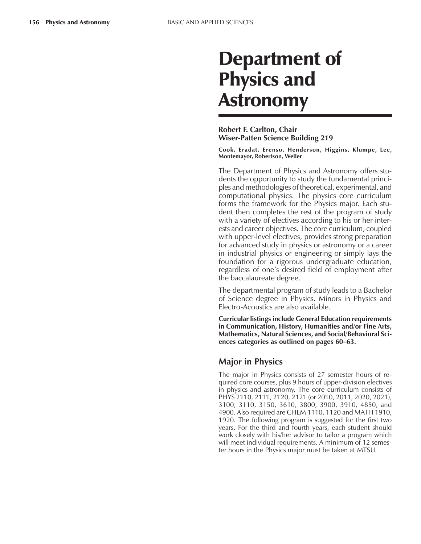# Department of Physics and Astronomy

## **Robert F. Carlton, Chair Wiser-Patten Science Building 219**

**Cook, Eradat, Erenso, Henderson, Higgins, Klumpe, Lee, Montemayor, Robertson, Weller**

The Department of Physics and Astronomy offers students the opportunity to study the fundamental principles and methodologies of theoretical, experimental, and computational physics. The physics core curriculum forms the framework for the Physics major. Each student then completes the rest of the program of study with a variety of electives according to his or her interests and career objectives. The core curriculum, coupled with upper-level electives, provides strong preparation for advanced study in physics or astronomy or a career in industrial physics or engineering or simply lays the foundation for a rigorous undergraduate education, regardless of one's desired field of employment after the baccalaureate degree.

The departmental program of study leads to a Bachelor of Science degree in Physics. Minors in Physics and Electro-Acoustics are also available.

**Curricular listings include General Education requirements in Communication, History, Humanities and/or Fine Arts, Mathematics, Natural Sciences, and Social/Behavioral Sci**ences categories as outlined on pages 60–63.

## **Major in Physics**

The major in Physics consists of 27 semester hours of required core courses, plus 9 hours of upper-division electives in physics and astronomy. The core curriculum consists of PHYS 2110, 2111, 2120, 2121 (or 2010, 2011, 2020, 2021), 3100, 3110, 3150, 3610, 3800, 3900, 3910, 4850, and 4900. Also required are CHEM 1110, 1120 and MATH 1910, 1920. The following program is suggested for the first two years. For the third and fourth years, each student should work closely with his/her advisor to tailor a program which will meet individual requirements. A minimum of 12 semester hours in the Physics major must be taken at MTSU.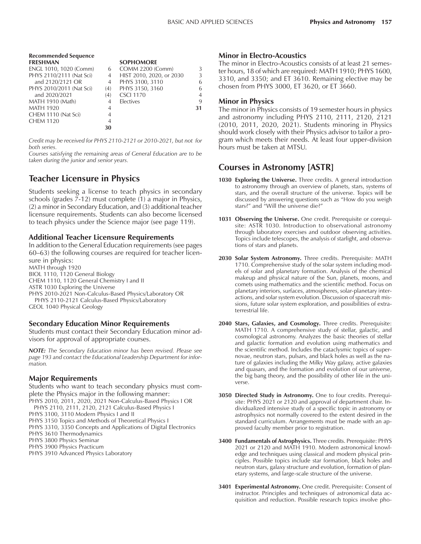| <b>Recommended Sequence</b> |     |                          |    |
|-----------------------------|-----|--------------------------|----|
| <b>FRESHMAN</b>             |     | <b>SOPHOMORE</b>         |    |
| ENGL 1010, 1020 (Comm)      | 6   | <b>COMM 2200 (Comm)</b>  | 3  |
| PHYS 2110/2111 (Nat Sci)    | 4   | HIST 2010, 2020, or 2030 | 3  |
| and 2120/2121 OR            | 4   | PHYS 3100, 3110          | 6  |
| PHYS 2010/2011 (Nat Sci)    | (4) | PHYS 3150, 3160          | 6  |
| and 2020/2021               | (4) | <b>CSCI 1170</b>         | 4  |
| MATH 1910 (Math)            | 4   | <b>Electives</b>         | 9  |
| <b>MATH 1920</b>            | 4   |                          | 31 |
| CHEM 1110 (Nat Sci)         | 4   |                          |    |
| <b>CHEM 1120</b>            | 4   |                          |    |
|                             | 30  |                          |    |

*Credit may be received for PHYS 2110-2121 or 2010-2021, but not for both series.*

*Courses satisfying the remaining areas of General Education are to be taken during the junior and senior years.*

# **Teacher Licensure in Physics**

Students seeking a license to teach physics in secondary schools (grades 7-12) must complete (1) a major in Physics, (2) a minor in Secondary Education, and (3) additional teacher licensure requirements. Students can also become licensed to teach physics under the Science major (see page 119).

### **Additional Teacher Licensure Requirements**

In addition to the General Education requirements (see pages 60–63) the following courses are required for teacher licensure in physics: MATH through 1920 BIOL 1110, 1120 General Biology CHEM 1110, 1120 General Chemistry I and II ASTR 1030 Exploring the Universe PHYS 2010-2021 Non-Calculus-Based Physics/Laboratory OR PHYS 2110-2121 Calculus-Based Physics/Laboratory

GEOL 1040 Physical Geology

### **Secondary Education Minor Requirements**

Students must contact their Secondary Education minor advisors for approval of appropriate courses.

*NOTE: The Secondary Education minor has been revised. Please see page 193 and contact the Educational Leadership Department for information.*

### **Major Requirements**

Students who want to teach secondary physics must complete the Physics major in the following manner:

PHYS 2010, 2011, 2020, 2021 Non-Calculus-Based Physics I OR PHYS 2110, 2111, 2120, 2121 Calculus-Based Physics I

PHYS 3100, 3110 Modern Physics I and II

PHYS 3150 Topics and Methods of Theoretical Physics I

PHYS 3310, 3350 Concepts and Applications of Digital Electronics

PHYS 3610 Thermodynamics

PHYS 3800 Physics Seminar

PHYS 3900 Physics Practicum

PHYS 3910 Advanced Physics Laboratory

#### **Minor in Electro-Acoustics**

The minor in Electro-Acoustics consists of at least 21 semester hours, 18 of which are required: MATH 1910; PHYS 1600, 3310, and 3350; and ET 3610. Remaining elective may be chosen from PHYS 3000, ET 3620, or ET 3660.

### **Minor in Physics**

The minor in Physics consists of 19 semester hours in physics and astronomy including PHYS 2110, 2111, 2120, 2121 (2010, 2011, 2020, 2021). Students minoring in Physics should work closely with their Physics advisor to tailor a program which meets their needs. At least four upper-division hours must be taken at MTSU.

## **Courses in Astronomy [ASTR]**

- **1030 Exploring the Universe.** Three credits. A general introduction to astronomy through an overview of planets, stars, systems of stars, and the overall structure of the universe. Topics will be discussed by answering questions such as "How do you weigh stars?" and "Will the universe die?"
- **1031 Observing the Universe.** One credit. Prerequisite or corequisite: ASTR 1030. Introduction to observational astronomy through laboratory exercises and outdoor observing activities. Topics include telescopes, the analysis of starlight, and observations of stars and planets.
- **2030 Solar System Astronomy.** Three credits. Prerequisite: MATH 1710. Comprehensive study of the solar system including models of solar and planetary formation. Analysis of the chemical makeup and physical nature of the Sun, planets, moons, and comets using mathematics and the scientific method. Focus on planetary interiors, surfaces, atmospheres, solar-planetary interactions, and solar system evolution. Discussion of spacecraft missions, future solar system exploration, and possibilities of extraterrestrial life.
- **2040 Stars, Galaxies, and Cosmology.** Three credits. Prerequisite: MATH 1710. A comprehensive study of stellar, galactic, and cosmological astronomy. Analyzes the basic theories of stellar and galactic formation and evolution using mathematics and the scientific method. Includes the cataclysmic topics of supernovae, neutron stars, pulsars, and black holes as well as the nature of galaxies including the Milky Way galaxy, active galaxies and quasars, and the formation and evolution of our universe, the big bang theory, and the possibility of other life in the universe.
- **3050 Directed Study in Astronomy.** One to four credits. Prerequisite: PHYS 2021 or 2120 and approval of department chair. Individualized intensive study of a specific topic in astronomy or astrophysics not normally covered to the extent desired in the standard curriculum. Arrangements must be made with an approved faculty member prior to registration.
- **3400 Fundamentals of Astrophysics.** Three credits. Prerequisite: PHYS 2021 or 2120 and MATH 1910. Modern astronomical knowledge and techniques using classical and modern physical principles. Possible topics include star formation, black holes and neutron stars, galaxy structure and evolution, formation of planetary systems, and large-scale structure of the universe.
- **3401 Experimental Astronomy.** One credit. Prerequisite: Consent of instructor. Principles and techniques of astronomical data acquisition and reduction. Possible research topics involve pho-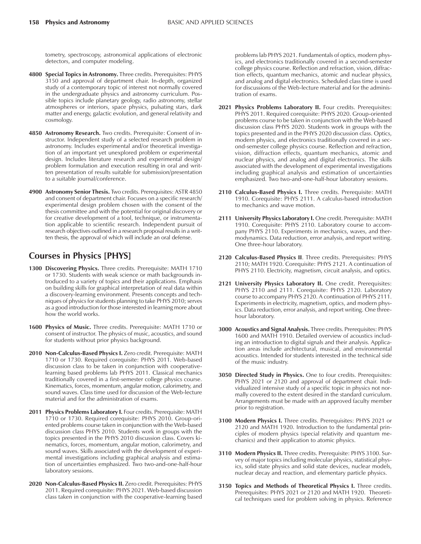tometry, spectroscopy, astronomical applications of electronic detectors, and computer modeling.

- **4800 Special Topics in Astronomy.** Three credits. Prerequisites: PHYS 3150 and approval of department chair. In-depth, organized study of a contemporary topic of interest not normally covered in the undergraduate physics and astronomy curriculum. Possible topics include planetary geology, radio astronomy, stellar atmospheres or interiors, space physics, pulsating stars, dark matter and energy, galactic evolution, and general relativity and cosmology.
- **4850 Astronomy Research.** Two credits. Prerequisite: Consent of instructor. Independent study of a selected research problem in astronomy. Includes experimental and/or theoretical investigation of an important yet unexplored problem or experimental design. Includes literature research and experimental design/ problem formulation and execution resulting in oral and written presentation of results suitable for submission/presentation to a suitable journal/conference.
- **4900 Astronomy Senior Thesis.** Two credits. Prerequisites: ASTR 4850 and consent of department chair. Focuses on a specific research/ experimental design problem chosen with the consent of the thesis committee and with the potential for original discovery or for creative development of a tool, technique, or instrumentation applicable to scientific research. Independent pursuit of research objectives outlined in a research proposal results in a written thesis, the approval of which will include an oral defense.

## **Courses in Physics [PHYS]**

- **1300 Discovering Physics.** Three credits. Prerequisite: MATH 1710 or 1730. Students with weak science or math backgrounds introduced to a variety of topics and their applications. Emphasis on building skills for graphical interpretation of real data within a discovery-learning environment. Presents concepts and techniques of physics for students planning to take PHYS 2010; serves as a good introduction for those interested in learning more about how the world works.
- **1600 Physics of Music.** Three credits. Prerequisite: MATH 1710 or consent of instructor. The physics of music, acoustics, and sound for students without prior physics background.
- **2010 Non-Calculus-Based Physics I.** Zero credit. Prerequisite: MATH 1710 or 1730. Required corequisite: PHYS 2011. Web-based discussion class to be taken in conjunction with cooperativelearning based problems lab PHYS 2011. Classical mechanics traditionally covered in a first-semester college physics course. Kinematics, forces, momentum, angular motion, calorimetry, and sound waves. Class time used for discussion of the Web-lecture material and for the administration of exams.
- 2011 Physics Problems Laboratory I. Four credits. Prerequisite: MATH 1710 or 1730. Required corequisite: PHYS 2010. Group-oriented problems course taken in conjunction with the Web-based discussion class PHYS 2010. Students work in groups with the topics presented in the PHYS 2010 discussion class. Covers kinematics, forces, momentum, angular motion, calorimetry, and sound waves. Skills associated with the development of experimental investigations including graphical analysis and estimation of uncertainties emphasized. Two two-and-one-half-hour laboratory sessions.
- 2020 Non-Calculus-Based Physics II. Zero credit. Prerequisites: PHYS 2011. Required corequisite: PHYS 2021. Web-based discussion class taken in conjunction with the cooperative-learning based

problems lab PHYS 2021. Fundamentals of optics, modern physics, and electronics traditionally covered in a second-semester college physics course. Reflection and refraction, vision, diffraction effects, quantum mechanics, atomic and nuclear physics, and analog and digital electronics. Scheduled class time is used for discussions of the Web-lecture material and for the administration of exams.

- 2021 Physics Problems Laboratory II. Four credits. Prerequisites: PHYS 2011. Required corequisite: PHYS 2020. Group-oriented problems course to be taken in conjunction with the Web-based discussion class PHYS 2020. Students work in groups with the topics presented and in the PHYS 2020 discussion class. Optics, modern physics, and electronics traditionally covered in a second-semester college physics course. Reflection and refraction, vision, diffraction effects, quantum mechanics, atomic and nuclear physics, and analog and digital electronics. The skills associated with the development of experimental investigations including graphical analysis and estimation of uncertainties emphasized. Two two-and-one-half-hour laboratory sessions.
- **2110 Calculus-Based Physics I.** Three credits. Prerequisite: MATH 1910. Corequisite: PHYS 2111. A calculus-based introduction to mechanics and wave motion.
- **2111 University Physics Laboratory I.** One credit. Prerequisite: MATH 1910. Corequisite: PHYS 2110. Laboratory course to accompany PHYS 2110. Experiments in mechanics, waves, and thermodynamics. Data reduction, error analysis, and report writing. One three-hour laboratory.
- **2120 Calculus-Based Physics II**. Three credits. Prerequisites: PHYS 2110; MATH 1920. Corequisite: PHYS 2121. A continuation of PHYS 2110. Electricity, magnetism, circuit analysis, and optics.
- 2121 University Physics Laboratory II. One credit. Prerequisites: PHYS 2110 and 2111. Corequisite: PHYS 2120. Laboratory course to accompany PHYS 2120. A continuation of PHYS 2111. Experiments in electricity, magnetism, optics, and modern physics. Data reduction, error analysis, and report writing. One threehour laboratory.
- **3000 Acoustics and Signal Analysis.** Three credits. Prerequisites: PHYS 1600 and MATH 1910. Detailed overview of acoustics including an introduction to digital signals and their analysis. Application areas include architectural, musical, and environmental acoustics. Intended for students interested in the technical side of the music industry.
- **3050 Directed Study in Physics.** One to four credits. Prerequisites: PHYS 2021 or 2120 and approval of department chair. Individualized intensive study of a specific topic in physics not normally covered to the extent desired in the standard curriculum. Arrangements must be made with an approved faculty member prior to registration.
- **3100 Modern Physics I.** Three credits. Prerequisites: PHYS 2021 or 2120 and MATH 1920. Introduction to the fundamental principles of modern physics (special relativity and quantum mechanics) and their application to atomic physics.
- **3110 Modern Physics II.** Three credits. Prerequisite: PHYS 3100. Survey of major topics including molecular physics, statistical physics, solid state physics and solid state devices, nuclear models, nuclear decay and reaction, and elementary particle physics.
- **3150 Topics and Methods of Theoretical Physics I.** Three credits. Prerequisites: PHYS 2021 or 2120 and MATH 1920. Theoretical techniques used for problem solving in physics. Reference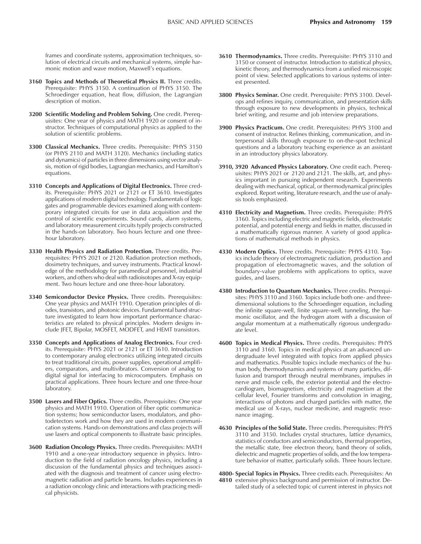frames and coordinate systems, approximation techniques, solution of electrical circuits and mechanical systems, simple harmonic motion and wave motion, Maxwell's equations.

- **3160 Topics and Methods of Theoretical Physics II.** Three credits. Prerequisite: PHYS 3150. A continuation of PHYS 3150. The Schroedinger equation, heat flow, diffusion, the Lagrangian description of motion.
- **3200 Scientific Modeling and Problem Solving.** One credit. Prerequisites: One year of physics and MATH 1920 or consent of instructor. Techniques of computational physics as applied to the solution of scientific problems.
- **3300 Classical Mechanics.** Three credits. Prerequisite: PHYS 3150 (or PHYS 2110 and MATH 3120). Mechanics (including statics and dynamics) of particles in three dimensions using vector analysis, motion of rigid bodies, Lagrangian mechanics, and Hamilton's equations.
- **3310 Concepts and Applications of Digital Electronics.** Three credits. Prerequisite: PHYS 2021 or 2121 or ET 3610. Investigates applications of modern digital technology. Fundamentals of logic gates and programmable devices examined along with contemporary integrated circuits for use in data acquisition and the control of scientific experiments. Sound cards, alarm systems, and laboratory measurement circuits typify projects constructed in the hands-on laboratory. Two hours lecture and one threehour laboratory.
- **3330 Health Physics and Radiation Protection.** Three credits. Prerequisites: PHYS 2021 or 2120. Radiation protection methods, dosimetry techniques, and survey instruments. Practical knowledge of the methodology for paramedical personnel, industrial workers, and others who deal with radioisotopes and X-ray equipment. Two hours lecture and one three-hour laboratory.
- **3340 Semiconductor Device Physics.** Three credits. Prerequisites: One year physics and MATH 1910. Operation principles of diodes, transistors, and photonic devices. Fundamental band structure investigated to learn how important performance characteristics are related to physical principles. Modern designs include JFET, Bipolar, MOSFET, MODFET, and HEMT transistors.
- **3350 Concepts and Applications of Analog Electronics.** Four credits. Prerequisite: PHYS 2021 or 2121 or ET 3610. Introduction to contemporary analog electronics utilizing integrated circuits to treat traditional circuits, power supplies, operational amplifiers, comparators, and multivibrators. Conversion of analog to digital signal for interfacing to microcomputers. Emphasis on practical applications. Three hours lecture and one three-hour laboratory.
- **3500 Lasers and Fiber Optics.** Three credits. Prerequisites: One year physics and MATH 1910. Operation of fiber optic communication systems; how semiconductor lasers, modulators, and photodetectors work and how they are used in modern communication systems. Hands-on demonstrations and class projects will use lasers and optical components to illustrate basic principles.
- **3600 Radiation Oncology Physics.** Three credits. Prerequisites: MATH 1910 and a one-year introductory sequence in physics. Introduction to the field of radiation oncology physics, including a discussion of the fundamental physics and techniques associated with the diagnosis and treatment of cancer using electromagnetic radiation and particle beams. Includes experiences in a radiation oncology clinic and interactions with practicing medical physicists.
- **3610 Thermodynamics.** Three credits. Prerequisite: PHYS 3110 and 3150 or consent of instructor. Introduction to statistical physics, kinetic theory, and thermodynamics from a unified microscopic point of view. Selected applications to various systems of interest presented.
- **3800 Physics Seminar.** One credit. Prerequisite: PHYS 3100. Develops and refines inquiry, communication, and presentation skills through exposure to new developments in physics, technical brief writing, and resume and job interview preparations.
- **3900 Physics Practicum.** One credit. Prerequisites: PHYS 3100 and consent of instructor. Refines thinking, communication, and interpersonal skills through exposure to on-the-spot technical questions and a laboratory teaching experience as an assistant in an introductory physics laboratory.
- **3910, 3920 Advanced Physics Laboratory.** One credit each. Prerequisites: PHYS 2021 or 2120 and 2121. The skills, art, and physics important in pursuing independent research. Experiments dealing with mechanical, optical, or thermodynamical principles explored. Report writing, literature research, and the use of analysis tools emphasized.
- **4310 Electricity and Magnetism.** Three credits. Prerequisite: PHYS 3160. Topics including electric and magnetic fields, electrostatic potential, and potential energy and fields in matter, discussed in a mathematically rigorous manner. A variety of good applications of mathematical methods in physics.
- **4330 Modern Optics.** Three credits. Prerequisite: PHYS 4310. Topics include theory of electromagnetic radiation, production and propagation of electromagnetic waves, and the solution of boundary-value problems with applications to optics, wave guides, and lasers.
- **4380 Introduction to Quantum Mechanics.** Three credits. Prerequisites: PHYS 3110 and 3160. Topics include both one- and threedimensional solutions to the Schroedinger equation, including the infinite square-well, finite square-well, tunneling, the harmonic oscillator, and the hydrogen atom with a discussion of angular momentum at a mathematically rigorous undergraduate level.
- **4600 Topics in Medical Physics.** Three credits. Prerequisites: PHYS 3110 and 3160. Topics in medical physics at an advanced undergraduate level integrated with topics from applied physics and mathematics. Possible topics include mechanics of the human body, thermodynamics and systems of many particles, diffusion and transport through neutral membranes, impulses in nerve and muscle cells, the exterior potential and the electrocardiogram, biomagnetism, electricity and magnetism at the cellular level, Fourier transforms and convolution in imaging, interactions of photons and charged particles with matter, the medical use of X-rays, nuclear medicine, and magnetic resonance imaging.
- **4630 Principles of the Solid State.** Three credits. Prerequisites: PHYS 3110 and 3150. Includes crystal structures, lattice dynamics, statistics of conductors and semiconductors, thermal properties, the metallic state, free electron theory, band theory of solids, dielectric and magnetic properties of solids, and the low temperature behavior of matter, particularly solids. Three hours lecture.

**4800- Special Topics in Physics.** Three credits each. Prerequisites: An **4810** extensive physics background and permission of instructor. Detailed study of a selected topic of current interest in physics not